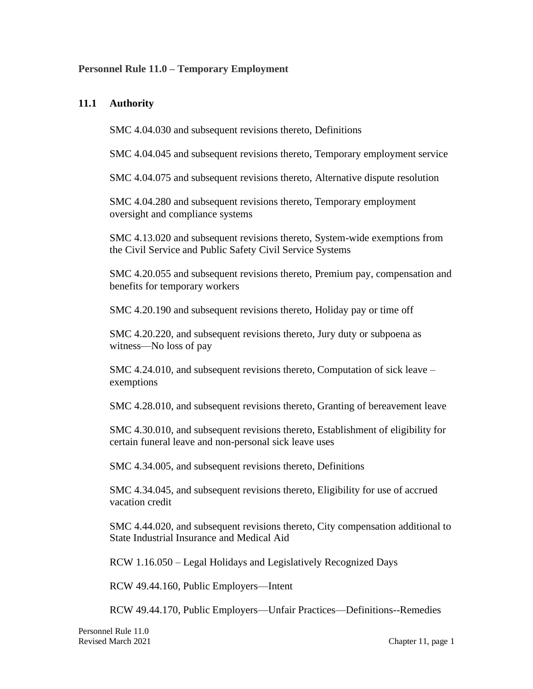#### **Personnel Rule 11.0 – Temporary Employment**

#### **11.1 Authority**

SMC 4.04.030 and subsequent revisions thereto, Definitions

SMC 4.04.045 and subsequent revisions thereto, Temporary employment service

SMC 4.04.075 and subsequent revisions thereto, Alternative dispute resolution

SMC 4.04.280 and subsequent revisions thereto, Temporary employment oversight and compliance systems

SMC 4.13.020 and subsequent revisions thereto, System-wide exemptions from the Civil Service and Public Safety Civil Service Systems

SMC 4.20.055 and subsequent revisions thereto, Premium pay, compensation and benefits for temporary workers

SMC 4.20.190 and subsequent revisions thereto, Holiday pay or time off

SMC 4.20.220, and subsequent revisions thereto, Jury duty or subpoena as witness—No loss of pay

SMC 4.24.010, and subsequent revisions thereto, Computation of sick leave – exemptions

SMC 4.28.010, and subsequent revisions thereto, Granting of bereavement leave

SMC 4.30.010, and subsequent revisions thereto, Establishment of eligibility for certain funeral leave and non-personal sick leave uses

SMC 4.34.005, and subsequent revisions thereto, Definitions

SMC 4.34.045, and subsequent revisions thereto, Eligibility for use of accrued vacation credit

SMC 4.44.020, and subsequent revisions thereto, City compensation additional to State Industrial Insurance and Medical Aid

RCW 1.16.050 – Legal Holidays and Legislatively Recognized Days

RCW 49.44.160, Public Employers—Intent

RCW 49.44.170, Public Employers—Unfair Practices—Definitions--Remedies

Personnel Rule 11.0 Revised March 2021 Chapter 11, page 1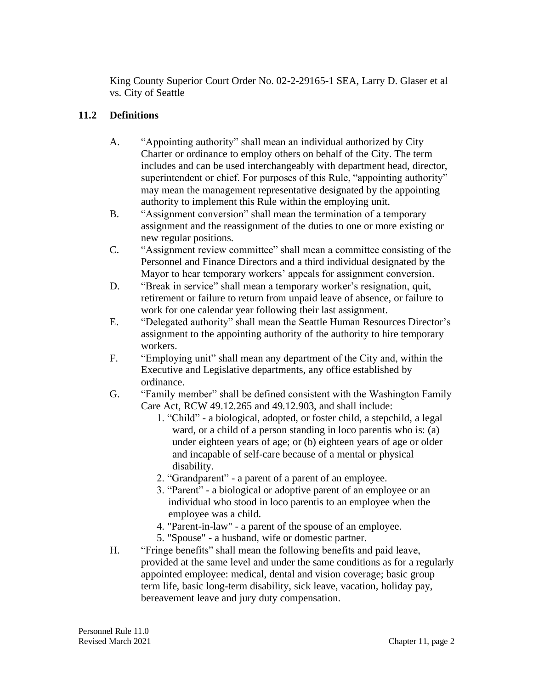King County Superior Court Order No. 02-2-29165-1 SEA, Larry D. Glaser et al vs. City of Seattle

## **11.2 Definitions**

- A. "Appointing authority" shall mean an individual authorized by City Charter or ordinance to employ others on behalf of the City. The term includes and can be used interchangeably with department head, director, superintendent or chief. For purposes of this Rule, "appointing authority" may mean the management representative designated by the appointing authority to implement this Rule within the employing unit.
- B. "Assignment conversion" shall mean the termination of a temporary assignment and the reassignment of the duties to one or more existing or new regular positions.
- C. "Assignment review committee" shall mean a committee consisting of the Personnel and Finance Directors and a third individual designated by the Mayor to hear temporary workers' appeals for assignment conversion.
- D. "Break in service" shall mean a temporary worker's resignation, quit, retirement or failure to return from unpaid leave of absence, or failure to work for one calendar year following their last assignment.
- E. "Delegated authority" shall mean the Seattle Human Resources Director's assignment to the appointing authority of the authority to hire temporary workers.
- F. "Employing unit" shall mean any department of the City and, within the Executive and Legislative departments, any office established by ordinance.
- G. "Family member" shall be defined consistent with the Washington Family Care Act, RCW 49.12.265 and 49.12.903, and shall include:
	- 1. "Child" a biological, adopted, or foster child, a stepchild, a legal ward, or a child of a person standing in loco parentis who is: (a) under eighteen years of age; or (b) eighteen years of age or older and incapable of self-care because of a mental or physical disability.
	- 2. "Grandparent" a parent of a parent of an employee.
	- 3. "Parent" a biological or adoptive parent of an employee or an individual who stood in loco parentis to an employee when the employee was a child.
	- 4. "Parent-in-law" a parent of the spouse of an employee.
	- 5. "Spouse" a husband, wife or domestic partner.
- H. "Fringe benefits" shall mean the following benefits and paid leave, provided at the same level and under the same conditions as for a regularly appointed employee: medical, dental and vision coverage; basic group term life, basic long-term disability, sick leave, vacation, holiday pay, bereavement leave and jury duty compensation.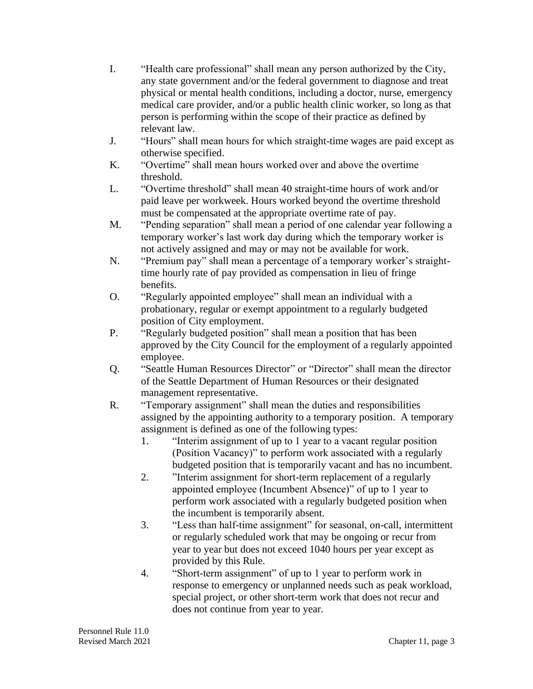- I. "Health care professional" shall mean any person authorized by the City, any state government and/or the federal government to diagnose and treat physical or mental health conditions, including a doctor, nurse, emergency medical care provider, and/or a public health clinic worker, so long as that person is performing within the scope of their practice as defined by relevant law.
- J. "Hours" shall mean hours for which straight-time wages are paid except as otherwise specified.
- K. "Overtime" shall mean hours worked over and above the overtime threshold.
- L. "Overtime threshold" shall mean 40 straight-time hours of work and/or paid leave per workweek. Hours worked beyond the overtime threshold must be compensated at the appropriate overtime rate of pay.
- M. "Pending separation" shall mean a period of one calendar year following a temporary worker's last work day during which the temporary worker is not actively assigned and may or may not be available for work.
- N. "Premium pay" shall mean a percentage of a temporary worker's straighttime hourly rate of pay provided as compensation in lieu of fringe benefits.
- O. "Regularly appointed employee" shall mean an individual with a probationary, regular or exempt appointment to a regularly budgeted position of City employment.
- P. "Regularly budgeted position" shall mean a position that has been approved by the City Council for the employment of a regularly appointed employee.
- Q. "Seattle Human Resources Director" or "Director" shall mean the director of the Seattle Department of Human Resources or their designated management representative.
- R. "Temporary assignment" shall mean the duties and responsibilities assigned by the appointing authority to a temporary position. A temporary assignment is defined as one of the following types:
	- 1. "Interim assignment of up to 1 year to a vacant regular position (Position Vacancy)" to perform work associated with a regularly budgeted position that is temporarily vacant and has no incumbent.
	- 2. "Interim assignment for short-term replacement of a regularly appointed employee (Incumbent Absence)" of up to 1 year to perform work associated with a regularly budgeted position when the incumbent is temporarily absent.
	- 3. "Less than half-time assignment" for seasonal, on-call, intermittent or regularly scheduled work that may be ongoing or recur from year to year but does not exceed 1040 hours per year except as provided by this Rule.
	- 4. "Short-term assignment" of up to 1 year to perform work in response to emergency or unplanned needs such as peak workload, special project, or other short-term work that does not recur and does not continue from year to year.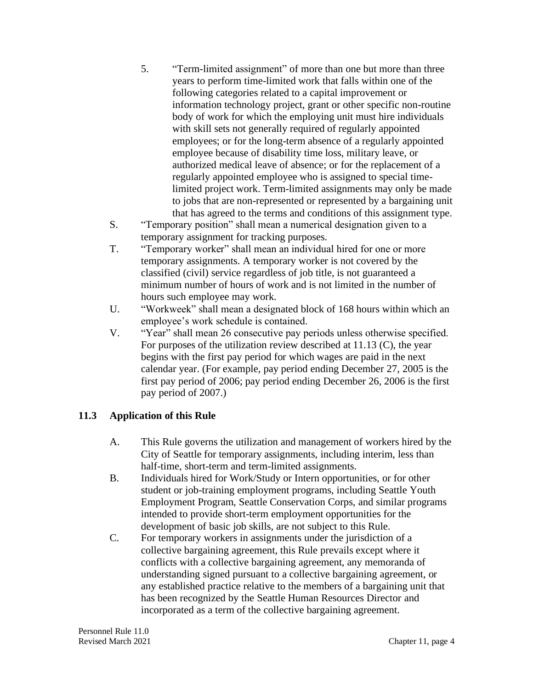- 5. "Term-limited assignment" of more than one but more than three years to perform time-limited work that falls within one of the following categories related to a capital improvement or information technology project, grant or other specific non-routine body of work for which the employing unit must hire individuals with skill sets not generally required of regularly appointed employees; or for the long-term absence of a regularly appointed employee because of disability time loss, military leave, or authorized medical leave of absence; or for the replacement of a regularly appointed employee who is assigned to special timelimited project work. Term-limited assignments may only be made to jobs that are non-represented or represented by a bargaining unit that has agreed to the terms and conditions of this assignment type.
- S. "Temporary position" shall mean a numerical designation given to a temporary assignment for tracking purposes.
- T. "Temporary worker" shall mean an individual hired for one or more temporary assignments. A temporary worker is not covered by the classified (civil) service regardless of job title, is not guaranteed a minimum number of hours of work and is not limited in the number of hours such employee may work.
- U. "Workweek" shall mean a designated block of 168 hours within which an employee's work schedule is contained.
- V. "Year" shall mean 26 consecutive pay periods unless otherwise specified. For purposes of the utilization review described at 11.13 (C), the year begins with the first pay period for which wages are paid in the next calendar year. (For example, pay period ending December 27, 2005 is the first pay period of 2006; pay period ending December 26, 2006 is the first pay period of 2007.)

# **11.3 Application of this Rule**

- A. This Rule governs the utilization and management of workers hired by the City of Seattle for temporary assignments, including interim, less than half-time, short-term and term-limited assignments.
- B. Individuals hired for Work/Study or Intern opportunities, or for other student or job-training employment programs, including Seattle Youth Employment Program, Seattle Conservation Corps, and similar programs intended to provide short-term employment opportunities for the development of basic job skills, are not subject to this Rule.
- C. For temporary workers in assignments under the jurisdiction of a collective bargaining agreement, this Rule prevails except where it conflicts with a collective bargaining agreement, any memoranda of understanding signed pursuant to a collective bargaining agreement, or any established practice relative to the members of a bargaining unit that has been recognized by the Seattle Human Resources Director and incorporated as a term of the collective bargaining agreement.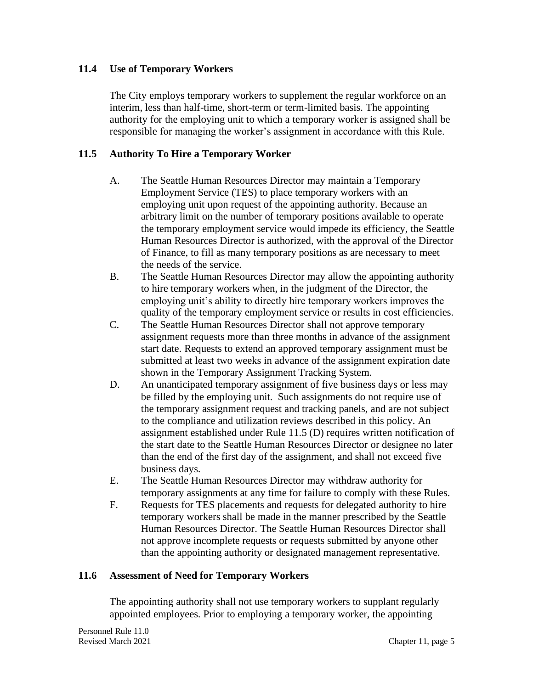## **11.4 Use of Temporary Workers**

The City employs temporary workers to supplement the regular workforce on an interim, less than half-time, short-term or term-limited basis. The appointing authority for the employing unit to which a temporary worker is assigned shall be responsible for managing the worker's assignment in accordance with this Rule.

## **11.5 Authority To Hire a Temporary Worker**

- A. The Seattle Human Resources Director may maintain a Temporary Employment Service (TES) to place temporary workers with an employing unit upon request of the appointing authority. Because an arbitrary limit on the number of temporary positions available to operate the temporary employment service would impede its efficiency, the Seattle Human Resources Director is authorized, with the approval of the Director of Finance, to fill as many temporary positions as are necessary to meet the needs of the service.
- B. The Seattle Human Resources Director may allow the appointing authority to hire temporary workers when, in the judgment of the Director, the employing unit's ability to directly hire temporary workers improves the quality of the temporary employment service or results in cost efficiencies.
- C. The Seattle Human Resources Director shall not approve temporary assignment requests more than three months in advance of the assignment start date. Requests to extend an approved temporary assignment must be submitted at least two weeks in advance of the assignment expiration date shown in the Temporary Assignment Tracking System.
- D. An unanticipated temporary assignment of five business days or less may be filled by the employing unit. Such assignments do not require use of the temporary assignment request and tracking panels, and are not subject to the compliance and utilization reviews described in this policy. An assignment established under Rule 11.5 (D) requires written notification of the start date to the Seattle Human Resources Director or designee no later than the end of the first day of the assignment, and shall not exceed five business days.
- E. The Seattle Human Resources Director may withdraw authority for temporary assignments at any time for failure to comply with these Rules.
- F. Requests for TES placements and requests for delegated authority to hire temporary workers shall be made in the manner prescribed by the Seattle Human Resources Director. The Seattle Human Resources Director shall not approve incomplete requests or requests submitted by anyone other than the appointing authority or designated management representative.

#### **11.6 Assessment of Need for Temporary Workers**

The appointing authority shall not use temporary workers to supplant regularly appointed employees. Prior to employing a temporary worker, the appointing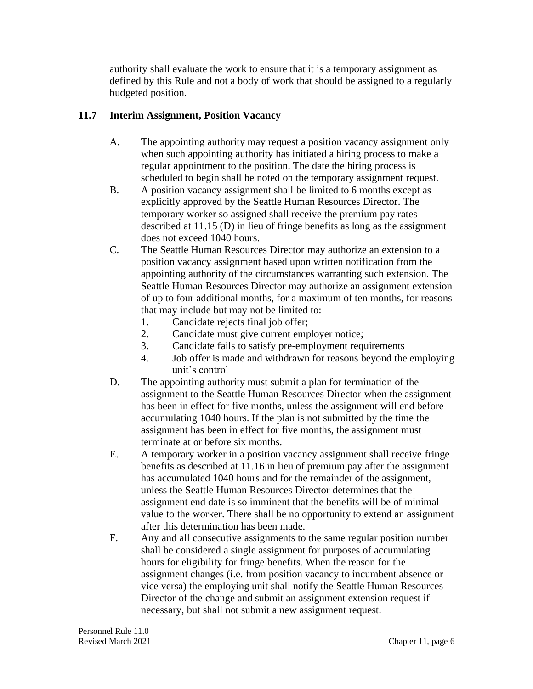authority shall evaluate the work to ensure that it is a temporary assignment as defined by this Rule and not a body of work that should be assigned to a regularly budgeted position.

## **11.7 Interim Assignment, Position Vacancy**

- A. The appointing authority may request a position vacancy assignment only when such appointing authority has initiated a hiring process to make a regular appointment to the position. The date the hiring process is scheduled to begin shall be noted on the temporary assignment request.
- B. A position vacancy assignment shall be limited to 6 months except as explicitly approved by the Seattle Human Resources Director. The temporary worker so assigned shall receive the premium pay rates described at 11.15 (D) in lieu of fringe benefits as long as the assignment does not exceed 1040 hours.
- C. The Seattle Human Resources Director may authorize an extension to a position vacancy assignment based upon written notification from the appointing authority of the circumstances warranting such extension. The Seattle Human Resources Director may authorize an assignment extension of up to four additional months, for a maximum of ten months, for reasons that may include but may not be limited to:
	- 1. Candidate rejects final job offer;
	- 2. Candidate must give current employer notice;
	- 3. Candidate fails to satisfy pre-employment requirements
	- 4. Job offer is made and withdrawn for reasons beyond the employing unit's control
- D. The appointing authority must submit a plan for termination of the assignment to the Seattle Human Resources Director when the assignment has been in effect for five months, unless the assignment will end before accumulating 1040 hours. If the plan is not submitted by the time the assignment has been in effect for five months, the assignment must terminate at or before six months.
- E. A temporary worker in a position vacancy assignment shall receive fringe benefits as described at 11.16 in lieu of premium pay after the assignment has accumulated 1040 hours and for the remainder of the assignment, unless the Seattle Human Resources Director determines that the assignment end date is so imminent that the benefits will be of minimal value to the worker. There shall be no opportunity to extend an assignment after this determination has been made.
- F. Any and all consecutive assignments to the same regular position number shall be considered a single assignment for purposes of accumulating hours for eligibility for fringe benefits. When the reason for the assignment changes (i.e. from position vacancy to incumbent absence or vice versa) the employing unit shall notify the Seattle Human Resources Director of the change and submit an assignment extension request if necessary, but shall not submit a new assignment request.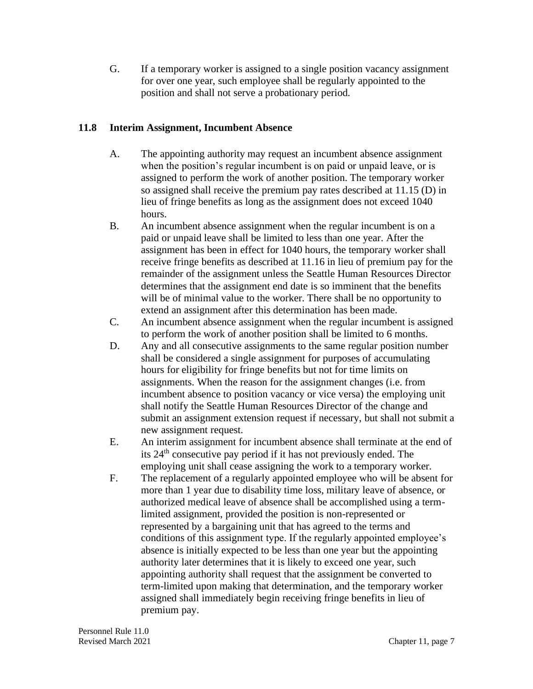G. If a temporary worker is assigned to a single position vacancy assignment for over one year, such employee shall be regularly appointed to the position and shall not serve a probationary period.

## **11.8 Interim Assignment, Incumbent Absence**

- A. The appointing authority may request an incumbent absence assignment when the position's regular incumbent is on paid or unpaid leave, or is assigned to perform the work of another position. The temporary worker so assigned shall receive the premium pay rates described at 11.15 (D) in lieu of fringe benefits as long as the assignment does not exceed 1040 hours.
- B. An incumbent absence assignment when the regular incumbent is on a paid or unpaid leave shall be limited to less than one year. After the assignment has been in effect for 1040 hours, the temporary worker shall receive fringe benefits as described at 11.16 in lieu of premium pay for the remainder of the assignment unless the Seattle Human Resources Director determines that the assignment end date is so imminent that the benefits will be of minimal value to the worker. There shall be no opportunity to extend an assignment after this determination has been made.
- C. An incumbent absence assignment when the regular incumbent is assigned to perform the work of another position shall be limited to 6 months.
- D. Any and all consecutive assignments to the same regular position number shall be considered a single assignment for purposes of accumulating hours for eligibility for fringe benefits but not for time limits on assignments. When the reason for the assignment changes (i.e. from incumbent absence to position vacancy or vice versa) the employing unit shall notify the Seattle Human Resources Director of the change and submit an assignment extension request if necessary, but shall not submit a new assignment request.
- E. An interim assignment for incumbent absence shall terminate at the end of its  $24<sup>th</sup>$  consecutive pay period if it has not previously ended. The employing unit shall cease assigning the work to a temporary worker.
- F. The replacement of a regularly appointed employee who will be absent for more than 1 year due to disability time loss, military leave of absence, or authorized medical leave of absence shall be accomplished using a termlimited assignment, provided the position is non-represented or represented by a bargaining unit that has agreed to the terms and conditions of this assignment type. If the regularly appointed employee's absence is initially expected to be less than one year but the appointing authority later determines that it is likely to exceed one year, such appointing authority shall request that the assignment be converted to term-limited upon making that determination, and the temporary worker assigned shall immediately begin receiving fringe benefits in lieu of premium pay.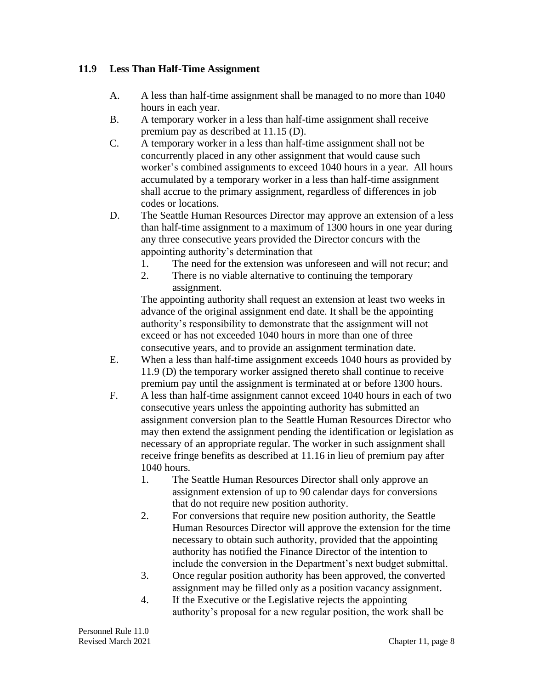## **11.9 Less Than Half-Time Assignment**

- A. A less than half-time assignment shall be managed to no more than 1040 hours in each year.
- B. A temporary worker in a less than half-time assignment shall receive premium pay as described at 11.15 (D).
- C. A temporary worker in a less than half-time assignment shall not be concurrently placed in any other assignment that would cause such worker's combined assignments to exceed 1040 hours in a year. All hours accumulated by a temporary worker in a less than half-time assignment shall accrue to the primary assignment, regardless of differences in job codes or locations.
- D. The Seattle Human Resources Director may approve an extension of a less than half-time assignment to a maximum of 1300 hours in one year during any three consecutive years provided the Director concurs with the appointing authority's determination that
	- 1. The need for the extension was unforeseen and will not recur; and
	- 2. There is no viable alternative to continuing the temporary assignment.

The appointing authority shall request an extension at least two weeks in advance of the original assignment end date. It shall be the appointing authority's responsibility to demonstrate that the assignment will not exceed or has not exceeded 1040 hours in more than one of three consecutive years, and to provide an assignment termination date.

- E. When a less than half-time assignment exceeds 1040 hours as provided by 11.9 (D) the temporary worker assigned thereto shall continue to receive premium pay until the assignment is terminated at or before 1300 hours.
- F. A less than half-time assignment cannot exceed 1040 hours in each of two consecutive years unless the appointing authority has submitted an assignment conversion plan to the Seattle Human Resources Director who may then extend the assignment pending the identification or legislation as necessary of an appropriate regular. The worker in such assignment shall receive fringe benefits as described at 11.16 in lieu of premium pay after 1040 hours.
	- 1. The Seattle Human Resources Director shall only approve an assignment extension of up to 90 calendar days for conversions that do not require new position authority.
	- 2. For conversions that require new position authority, the Seattle Human Resources Director will approve the extension for the time necessary to obtain such authority, provided that the appointing authority has notified the Finance Director of the intention to include the conversion in the Department's next budget submittal.
	- 3. Once regular position authority has been approved, the converted assignment may be filled only as a position vacancy assignment.
	- 4. If the Executive or the Legislative rejects the appointing authority's proposal for a new regular position, the work shall be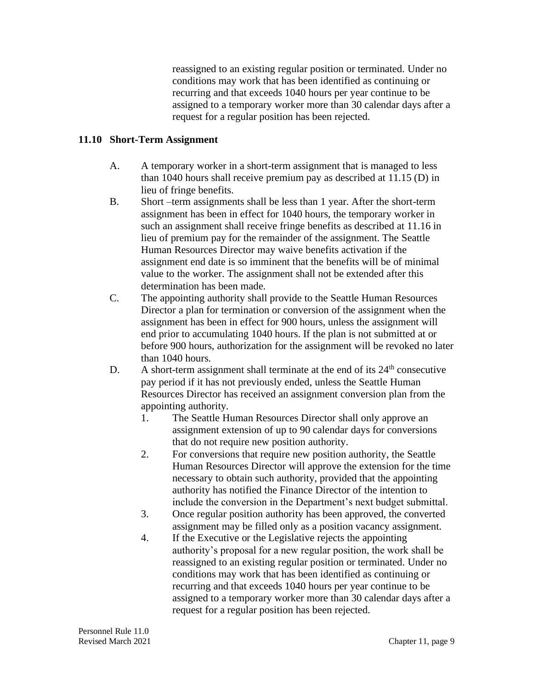reassigned to an existing regular position or terminated. Under no conditions may work that has been identified as continuing or recurring and that exceeds 1040 hours per year continue to be assigned to a temporary worker more than 30 calendar days after a request for a regular position has been rejected.

#### **11.10 Short-Term Assignment**

- A. A temporary worker in a short-term assignment that is managed to less than 1040 hours shall receive premium pay as described at 11.15 (D) in lieu of fringe benefits.
- B. Short –term assignments shall be less than 1 year. After the short-term assignment has been in effect for 1040 hours, the temporary worker in such an assignment shall receive fringe benefits as described at 11.16 in lieu of premium pay for the remainder of the assignment. The Seattle Human Resources Director may waive benefits activation if the assignment end date is so imminent that the benefits will be of minimal value to the worker. The assignment shall not be extended after this determination has been made.
- C. The appointing authority shall provide to the Seattle Human Resources Director a plan for termination or conversion of the assignment when the assignment has been in effect for 900 hours, unless the assignment will end prior to accumulating 1040 hours. If the plan is not submitted at or before 900 hours, authorization for the assignment will be revoked no later than 1040 hours.
- D. A short-term assignment shall terminate at the end of its  $24<sup>th</sup>$  consecutive pay period if it has not previously ended, unless the Seattle Human Resources Director has received an assignment conversion plan from the appointing authority.
	- 1. The Seattle Human Resources Director shall only approve an assignment extension of up to 90 calendar days for conversions that do not require new position authority.
	- 2. For conversions that require new position authority, the Seattle Human Resources Director will approve the extension for the time necessary to obtain such authority, provided that the appointing authority has notified the Finance Director of the intention to include the conversion in the Department's next budget submittal.
	- 3. Once regular position authority has been approved, the converted assignment may be filled only as a position vacancy assignment.
	- 4. If the Executive or the Legislative rejects the appointing authority's proposal for a new regular position, the work shall be reassigned to an existing regular position or terminated. Under no conditions may work that has been identified as continuing or recurring and that exceeds 1040 hours per year continue to be assigned to a temporary worker more than 30 calendar days after a request for a regular position has been rejected.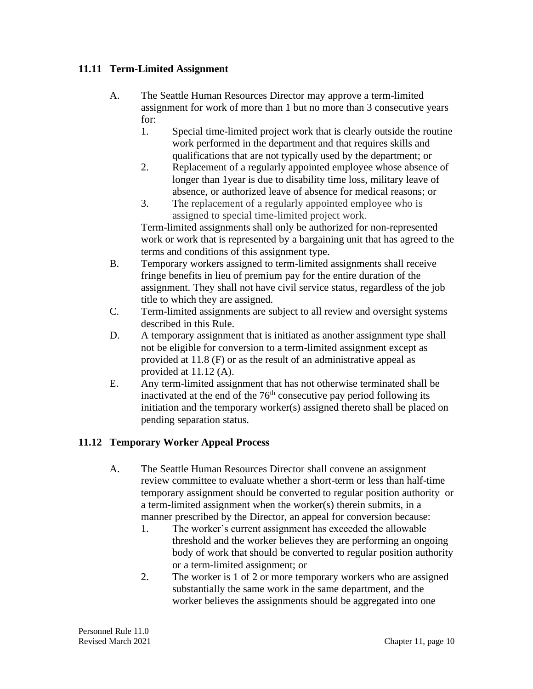## **11.11 Term-Limited Assignment**

- A. The Seattle Human Resources Director may approve a term-limited assignment for work of more than 1 but no more than 3 consecutive years for:
	- 1. Special time-limited project work that is clearly outside the routine work performed in the department and that requires skills and qualifications that are not typically used by the department; or
	- 2. Replacement of a regularly appointed employee whose absence of longer than 1year is due to disability time loss, military leave of absence, or authorized leave of absence for medical reasons; or
	- 3. The replacement of a regularly appointed employee who is assigned to special time-limited project work.

Term-limited assignments shall only be authorized for non-represented work or work that is represented by a bargaining unit that has agreed to the terms and conditions of this assignment type.

- B. Temporary workers assigned to term-limited assignments shall receive fringe benefits in lieu of premium pay for the entire duration of the assignment. They shall not have civil service status, regardless of the job title to which they are assigned.
- C. Term-limited assignments are subject to all review and oversight systems described in this Rule.
- D. A temporary assignment that is initiated as another assignment type shall not be eligible for conversion to a term-limited assignment except as provided at 11.8 (F) or as the result of an administrative appeal as provided at 11.12 (A).
- E. Any term-limited assignment that has not otherwise terminated shall be inactivated at the end of the  $76<sup>th</sup>$  consecutive pay period following its initiation and the temporary worker(s) assigned thereto shall be placed on pending separation status.

# **11.12 Temporary Worker Appeal Process**

- A. The Seattle Human Resources Director shall convene an assignment review committee to evaluate whether a short-term or less than half-time temporary assignment should be converted to regular position authority or a term-limited assignment when the worker(s) therein submits, in a manner prescribed by the Director, an appeal for conversion because:
	- 1. The worker's current assignment has exceeded the allowable threshold and the worker believes they are performing an ongoing body of work that should be converted to regular position authority or a term-limited assignment; or
	- 2. The worker is 1 of 2 or more temporary workers who are assigned substantially the same work in the same department, and the worker believes the assignments should be aggregated into one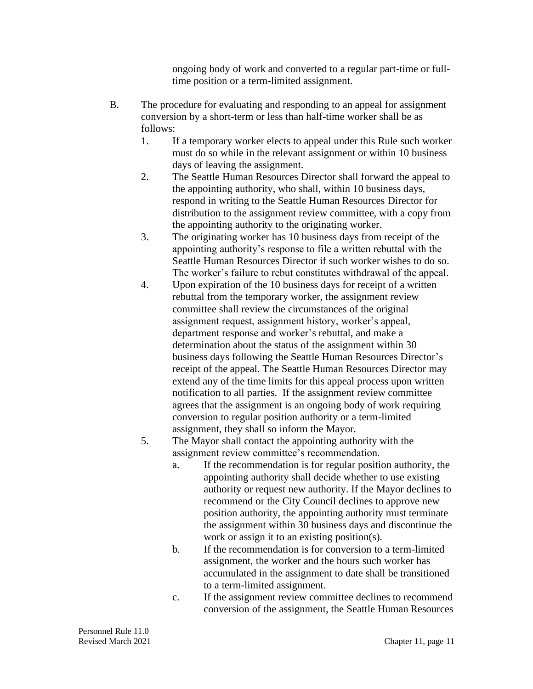ongoing body of work and converted to a regular part-time or fulltime position or a term-limited assignment.

- B. The procedure for evaluating and responding to an appeal for assignment conversion by a short-term or less than half-time worker shall be as follows:
	- 1. If a temporary worker elects to appeal under this Rule such worker must do so while in the relevant assignment or within 10 business days of leaving the assignment.
	- 2. The Seattle Human Resources Director shall forward the appeal to the appointing authority, who shall, within 10 business days, respond in writing to the Seattle Human Resources Director for distribution to the assignment review committee, with a copy from the appointing authority to the originating worker.
	- 3. The originating worker has 10 business days from receipt of the appointing authority's response to file a written rebuttal with the Seattle Human Resources Director if such worker wishes to do so. The worker's failure to rebut constitutes withdrawal of the appeal.
	- 4. Upon expiration of the 10 business days for receipt of a written rebuttal from the temporary worker, the assignment review committee shall review the circumstances of the original assignment request, assignment history, worker's appeal, department response and worker's rebuttal, and make a determination about the status of the assignment within 30 business days following the Seattle Human Resources Director's receipt of the appeal. The Seattle Human Resources Director may extend any of the time limits for this appeal process upon written notification to all parties. If the assignment review committee agrees that the assignment is an ongoing body of work requiring conversion to regular position authority or a term-limited assignment, they shall so inform the Mayor.
	- 5. The Mayor shall contact the appointing authority with the assignment review committee's recommendation.
		- a. If the recommendation is for regular position authority, the appointing authority shall decide whether to use existing authority or request new authority. If the Mayor declines to recommend or the City Council declines to approve new position authority, the appointing authority must terminate the assignment within 30 business days and discontinue the work or assign it to an existing position(s).
		- b. If the recommendation is for conversion to a term-limited assignment, the worker and the hours such worker has accumulated in the assignment to date shall be transitioned to a term-limited assignment.
		- c. If the assignment review committee declines to recommend conversion of the assignment, the Seattle Human Resources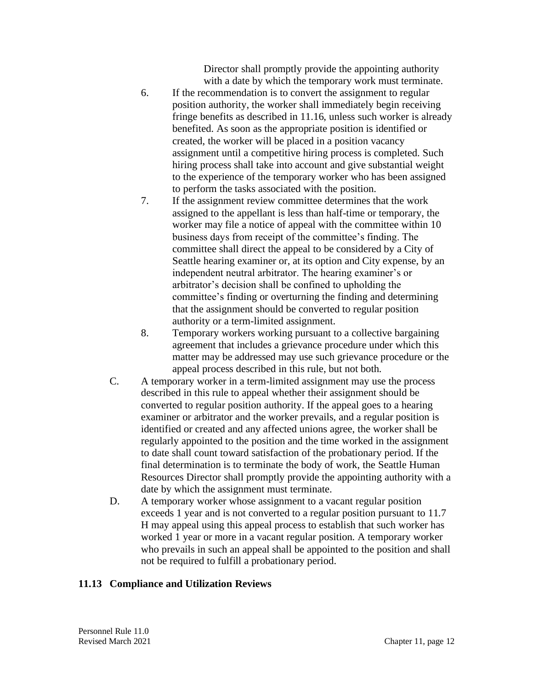Director shall promptly provide the appointing authority with a date by which the temporary work must terminate.

- 6. If the recommendation is to convert the assignment to regular position authority, the worker shall immediately begin receiving fringe benefits as described in 11.16, unless such worker is already benefited. As soon as the appropriate position is identified or created, the worker will be placed in a position vacancy assignment until a competitive hiring process is completed. Such hiring process shall take into account and give substantial weight to the experience of the temporary worker who has been assigned to perform the tasks associated with the position.
- 7. If the assignment review committee determines that the work assigned to the appellant is less than half-time or temporary, the worker may file a notice of appeal with the committee within 10 business days from receipt of the committee's finding. The committee shall direct the appeal to be considered by a City of Seattle hearing examiner or, at its option and City expense, by an independent neutral arbitrator. The hearing examiner's or arbitrator's decision shall be confined to upholding the committee's finding or overturning the finding and determining that the assignment should be converted to regular position authority or a term-limited assignment.
- 8. Temporary workers working pursuant to a collective bargaining agreement that includes a grievance procedure under which this matter may be addressed may use such grievance procedure or the appeal process described in this rule, but not both.
- C. A temporary worker in a term-limited assignment may use the process described in this rule to appeal whether their assignment should be converted to regular position authority. If the appeal goes to a hearing examiner or arbitrator and the worker prevails, and a regular position is identified or created and any affected unions agree, the worker shall be regularly appointed to the position and the time worked in the assignment to date shall count toward satisfaction of the probationary period. If the final determination is to terminate the body of work, the Seattle Human Resources Director shall promptly provide the appointing authority with a date by which the assignment must terminate.
- D. A temporary worker whose assignment to a vacant regular position exceeds 1 year and is not converted to a regular position pursuant to 11.7 H may appeal using this appeal process to establish that such worker has worked 1 year or more in a vacant regular position. A temporary worker who prevails in such an appeal shall be appointed to the position and shall not be required to fulfill a probationary period.

# **11.13 Compliance and Utilization Reviews**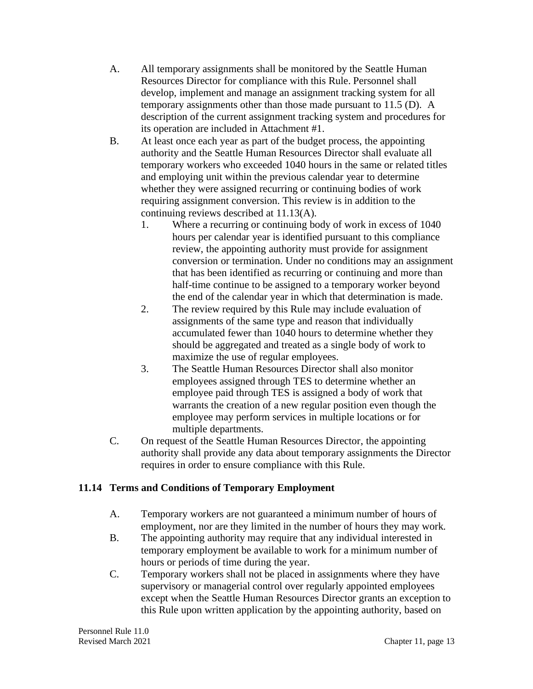- A. All temporary assignments shall be monitored by the Seattle Human Resources Director for compliance with this Rule. Personnel shall develop, implement and manage an assignment tracking system for all temporary assignments other than those made pursuant to 11.5 (D). A description of the current assignment tracking system and procedures for its operation are included in Attachment #1.
- B. At least once each year as part of the budget process, the appointing authority and the Seattle Human Resources Director shall evaluate all temporary workers who exceeded 1040 hours in the same or related titles and employing unit within the previous calendar year to determine whether they were assigned recurring or continuing bodies of work requiring assignment conversion. This review is in addition to the continuing reviews described at 11.13(A).
	- 1. Where a recurring or continuing body of work in excess of 1040 hours per calendar year is identified pursuant to this compliance review, the appointing authority must provide for assignment conversion or termination. Under no conditions may an assignment that has been identified as recurring or continuing and more than half-time continue to be assigned to a temporary worker beyond the end of the calendar year in which that determination is made.
	- 2. The review required by this Rule may include evaluation of assignments of the same type and reason that individually accumulated fewer than 1040 hours to determine whether they should be aggregated and treated as a single body of work to maximize the use of regular employees.
	- 3. The Seattle Human Resources Director shall also monitor employees assigned through TES to determine whether an employee paid through TES is assigned a body of work that warrants the creation of a new regular position even though the employee may perform services in multiple locations or for multiple departments.
- C. On request of the Seattle Human Resources Director, the appointing authority shall provide any data about temporary assignments the Director requires in order to ensure compliance with this Rule.

# **11.14 Terms and Conditions of Temporary Employment**

- A. Temporary workers are not guaranteed a minimum number of hours of employment, nor are they limited in the number of hours they may work.
- B. The appointing authority may require that any individual interested in temporary employment be available to work for a minimum number of hours or periods of time during the year.
- C. Temporary workers shall not be placed in assignments where they have supervisory or managerial control over regularly appointed employees except when the Seattle Human Resources Director grants an exception to this Rule upon written application by the appointing authority, based on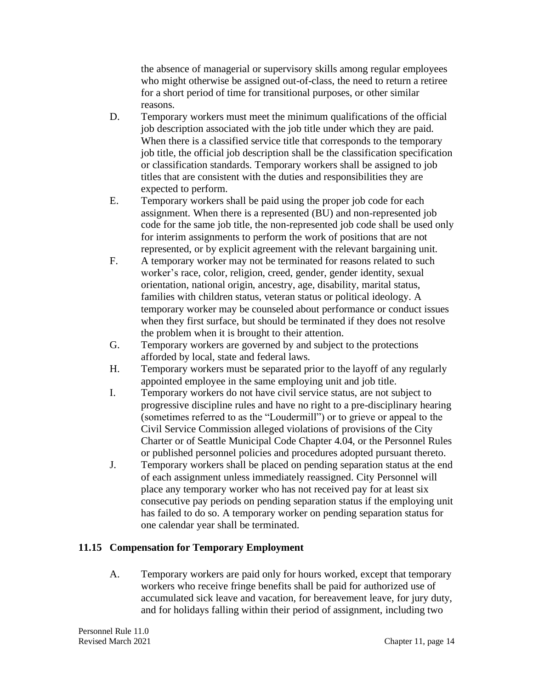the absence of managerial or supervisory skills among regular employees who might otherwise be assigned out-of-class, the need to return a retiree for a short period of time for transitional purposes, or other similar reasons.

- D. Temporary workers must meet the minimum qualifications of the official job description associated with the job title under which they are paid. When there is a classified service title that corresponds to the temporary job title, the official job description shall be the classification specification or classification standards. Temporary workers shall be assigned to job titles that are consistent with the duties and responsibilities they are expected to perform.
- E. Temporary workers shall be paid using the proper job code for each assignment. When there is a represented (BU) and non-represented job code for the same job title, the non-represented job code shall be used only for interim assignments to perform the work of positions that are not represented, or by explicit agreement with the relevant bargaining unit.
- F. A temporary worker may not be terminated for reasons related to such worker's race, color, religion, creed, gender, gender identity, sexual orientation, national origin, ancestry, age, disability, marital status, families with children status, veteran status or political ideology. A temporary worker may be counseled about performance or conduct issues when they first surface, but should be terminated if they does not resolve the problem when it is brought to their attention.
- G. Temporary workers are governed by and subject to the protections afforded by local, state and federal laws.
- H. Temporary workers must be separated prior to the layoff of any regularly appointed employee in the same employing unit and job title.
- I. Temporary workers do not have civil service status, are not subject to progressive discipline rules and have no right to a pre-disciplinary hearing (sometimes referred to as the "Loudermill") or to grieve or appeal to the Civil Service Commission alleged violations of provisions of the City Charter or of Seattle Municipal Code Chapter 4.04, or the Personnel Rules or published personnel policies and procedures adopted pursuant thereto.
- J. Temporary workers shall be placed on pending separation status at the end of each assignment unless immediately reassigned. City Personnel will place any temporary worker who has not received pay for at least six consecutive pay periods on pending separation status if the employing unit has failed to do so. A temporary worker on pending separation status for one calendar year shall be terminated.

## **11.15 Compensation for Temporary Employment**

A. Temporary workers are paid only for hours worked, except that temporary workers who receive fringe benefits shall be paid for authorized use of accumulated sick leave and vacation, for bereavement leave, for jury duty, and for holidays falling within their period of assignment, including two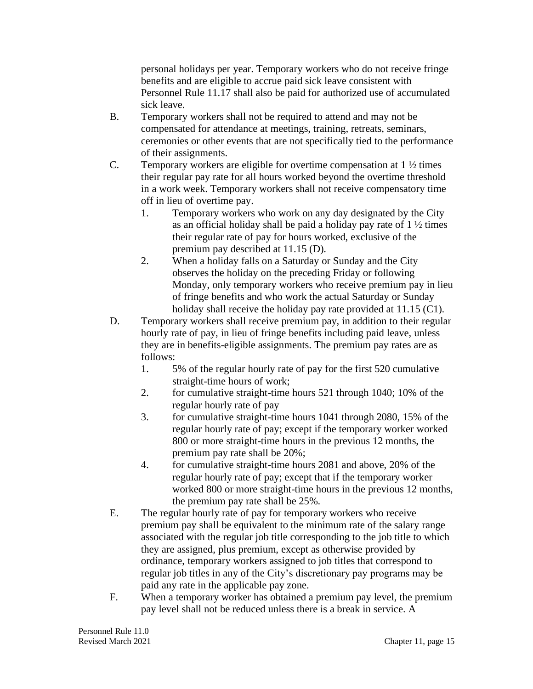personal holidays per year. Temporary workers who do not receive fringe benefits and are eligible to accrue paid sick leave consistent with Personnel Rule 11.17 shall also be paid for authorized use of accumulated sick leave.

- B. Temporary workers shall not be required to attend and may not be compensated for attendance at meetings, training, retreats, seminars, ceremonies or other events that are not specifically tied to the performance of their assignments.
- C. Temporary workers are eligible for overtime compensation at  $1\frac{1}{2}$  times their regular pay rate for all hours worked beyond the overtime threshold in a work week. Temporary workers shall not receive compensatory time off in lieu of overtime pay.
	- 1. Temporary workers who work on any day designated by the City as an official holiday shall be paid a holiday pay rate of  $1\frac{1}{2}$  times their regular rate of pay for hours worked, exclusive of the premium pay described at 11.15 (D).
	- 2. When a holiday falls on a Saturday or Sunday and the City observes the holiday on the preceding Friday or following Monday, only temporary workers who receive premium pay in lieu of fringe benefits and who work the actual Saturday or Sunday holiday shall receive the holiday pay rate provided at 11.15 (C1).
- D. Temporary workers shall receive premium pay, in addition to their regular hourly rate of pay, in lieu of fringe benefits including paid leave, unless they are in benefits-eligible assignments. The premium pay rates are as follows:
	- 1. 5% of the regular hourly rate of pay for the first 520 cumulative straight-time hours of work;
	- 2. for cumulative straight-time hours 521 through 1040; 10% of the regular hourly rate of pay
	- 3. for cumulative straight-time hours 1041 through 2080, 15% of the regular hourly rate of pay; except if the temporary worker worked 800 or more straight-time hours in the previous 12 months, the premium pay rate shall be 20%;
	- 4. for cumulative straight-time hours 2081 and above, 20% of the regular hourly rate of pay; except that if the temporary worker worked 800 or more straight-time hours in the previous 12 months, the premium pay rate shall be 25%.
- E. The regular hourly rate of pay for temporary workers who receive premium pay shall be equivalent to the minimum rate of the salary range associated with the regular job title corresponding to the job title to which they are assigned, plus premium, except as otherwise provided by ordinance, temporary workers assigned to job titles that correspond to regular job titles in any of the City's discretionary pay programs may be paid any rate in the applicable pay zone.
- F. When a temporary worker has obtained a premium pay level, the premium pay level shall not be reduced unless there is a break in service. A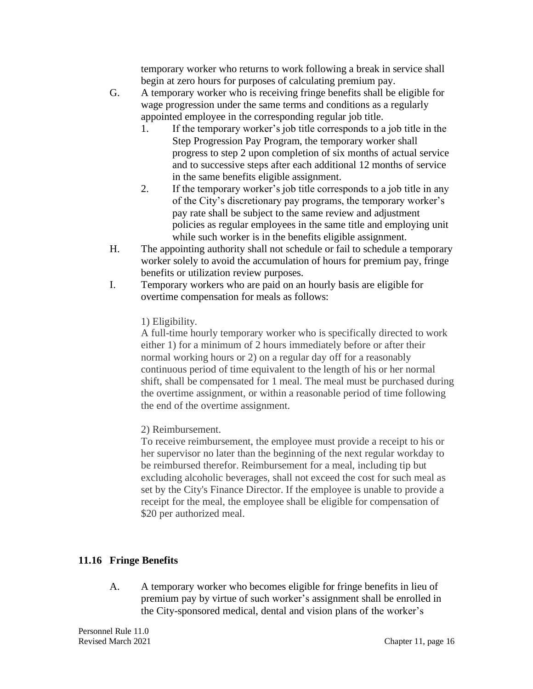temporary worker who returns to work following a break in service shall begin at zero hours for purposes of calculating premium pay.

- G. A temporary worker who is receiving fringe benefits shall be eligible for wage progression under the same terms and conditions as a regularly appointed employee in the corresponding regular job title.
	- 1. If the temporary worker's job title corresponds to a job title in the Step Progression Pay Program, the temporary worker shall progress to step 2 upon completion of six months of actual service and to successive steps after each additional 12 months of service in the same benefits eligible assignment.
	- 2. If the temporary worker's job title corresponds to a job title in any of the City's discretionary pay programs, the temporary worker's pay rate shall be subject to the same review and adjustment policies as regular employees in the same title and employing unit while such worker is in the benefits eligible assignment.
- H. The appointing authority shall not schedule or fail to schedule a temporary worker solely to avoid the accumulation of hours for premium pay, fringe benefits or utilization review purposes.
- I. Temporary workers who are paid on an hourly basis are eligible for overtime compensation for meals as follows:

1) Eligibility.

A full-time hourly temporary worker who is specifically directed to work either 1) for a minimum of 2 hours immediately before or after their normal working hours or 2) on a regular day off for a reasonably continuous period of time equivalent to the length of his or her normal shift, shall be compensated for 1 meal. The meal must be purchased during the overtime assignment, or within a reasonable period of time following the end of the overtime assignment.

2) Reimbursement.

To receive reimbursement, the employee must provide a receipt to his or her supervisor no later than the beginning of the next regular workday to be reimbursed therefor. Reimbursement for a meal, including tip but excluding alcoholic beverages, shall not exceed the cost for such meal as set by the City's Finance Director. If the employee is unable to provide a receipt for the meal, the employee shall be eligible for compensation of \$20 per authorized meal.

# **11.16 Fringe Benefits**

A. A temporary worker who becomes eligible for fringe benefits in lieu of premium pay by virtue of such worker's assignment shall be enrolled in the City-sponsored medical, dental and vision plans of the worker's

Personnel Rule 11.0 Revised March 2021 Chapter 11, page 16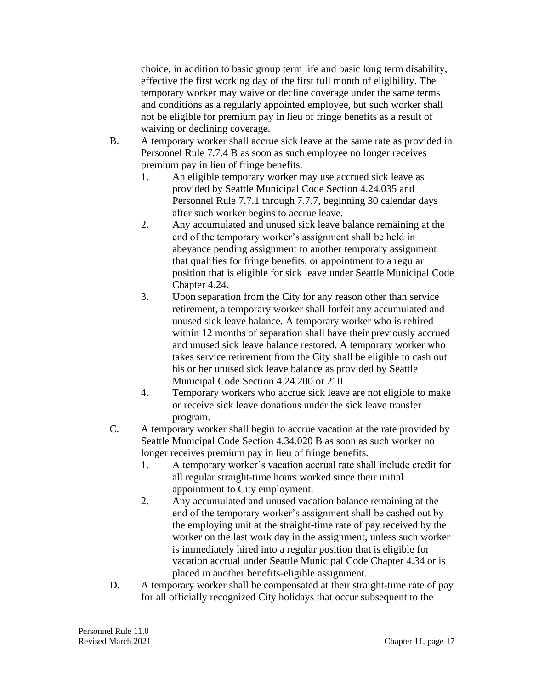choice, in addition to basic group term life and basic long term disability, effective the first working day of the first full month of eligibility. The temporary worker may waive or decline coverage under the same terms and conditions as a regularly appointed employee, but such worker shall not be eligible for premium pay in lieu of fringe benefits as a result of waiving or declining coverage.

- B. A temporary worker shall accrue sick leave at the same rate as provided in Personnel Rule 7.7.4 B as soon as such employee no longer receives premium pay in lieu of fringe benefits.
	- 1. An eligible temporary worker may use accrued sick leave as provided by Seattle Municipal Code Section 4.24.035 and Personnel Rule 7.7.1 through 7.7.7, beginning 30 calendar days after such worker begins to accrue leave.
	- 2. Any accumulated and unused sick leave balance remaining at the end of the temporary worker's assignment shall be held in abeyance pending assignment to another temporary assignment that qualifies for fringe benefits, or appointment to a regular position that is eligible for sick leave under Seattle Municipal Code Chapter 4.24.
	- 3. Upon separation from the City for any reason other than service retirement, a temporary worker shall forfeit any accumulated and unused sick leave balance. A temporary worker who is rehired within 12 months of separation shall have their previously accrued and unused sick leave balance restored. A temporary worker who takes service retirement from the City shall be eligible to cash out his or her unused sick leave balance as provided by Seattle Municipal Code Section 4.24.200 or 210.
	- 4. Temporary workers who accrue sick leave are not eligible to make or receive sick leave donations under the sick leave transfer program.
- C. A temporary worker shall begin to accrue vacation at the rate provided by Seattle Municipal Code Section 4.34.020 B as soon as such worker no longer receives premium pay in lieu of fringe benefits.
	- 1. A temporary worker's vacation accrual rate shall include credit for all regular straight-time hours worked since their initial appointment to City employment.
	- 2. Any accumulated and unused vacation balance remaining at the end of the temporary worker's assignment shall be cashed out by the employing unit at the straight-time rate of pay received by the worker on the last work day in the assignment, unless such worker is immediately hired into a regular position that is eligible for vacation accrual under Seattle Municipal Code Chapter 4.34 or is placed in another benefits-eligible assignment.
- D. A temporary worker shall be compensated at their straight-time rate of pay for all officially recognized City holidays that occur subsequent to the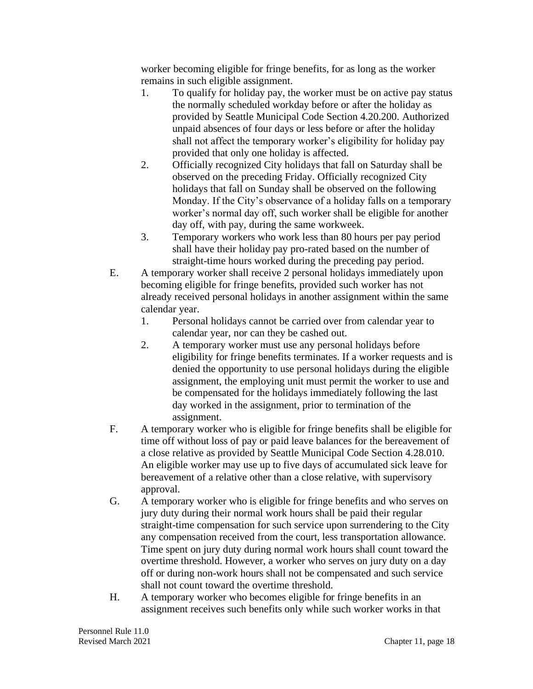worker becoming eligible for fringe benefits, for as long as the worker remains in such eligible assignment.

- 1. To qualify for holiday pay, the worker must be on active pay status the normally scheduled workday before or after the holiday as provided by Seattle Municipal Code Section 4.20.200. Authorized unpaid absences of four days or less before or after the holiday shall not affect the temporary worker's eligibility for holiday pay provided that only one holiday is affected.
- 2. Officially recognized City holidays that fall on Saturday shall be observed on the preceding Friday. Officially recognized City holidays that fall on Sunday shall be observed on the following Monday. If the City's observance of a holiday falls on a temporary worker's normal day off, such worker shall be eligible for another day off, with pay, during the same workweek.
- 3. Temporary workers who work less than 80 hours per pay period shall have their holiday pay pro-rated based on the number of straight-time hours worked during the preceding pay period.
- E. A temporary worker shall receive 2 personal holidays immediately upon becoming eligible for fringe benefits, provided such worker has not already received personal holidays in another assignment within the same calendar year.
	- 1. Personal holidays cannot be carried over from calendar year to calendar year, nor can they be cashed out.
	- 2. A temporary worker must use any personal holidays before eligibility for fringe benefits terminates. If a worker requests and is denied the opportunity to use personal holidays during the eligible assignment, the employing unit must permit the worker to use and be compensated for the holidays immediately following the last day worked in the assignment, prior to termination of the assignment.
- F. A temporary worker who is eligible for fringe benefits shall be eligible for time off without loss of pay or paid leave balances for the bereavement of a close relative as provided by Seattle Municipal Code Section 4.28.010. An eligible worker may use up to five days of accumulated sick leave for bereavement of a relative other than a close relative, with supervisory approval.
- G. A temporary worker who is eligible for fringe benefits and who serves on jury duty during their normal work hours shall be paid their regular straight-time compensation for such service upon surrendering to the City any compensation received from the court, less transportation allowance. Time spent on jury duty during normal work hours shall count toward the overtime threshold. However, a worker who serves on jury duty on a day off or during non-work hours shall not be compensated and such service shall not count toward the overtime threshold.
- H. A temporary worker who becomes eligible for fringe benefits in an assignment receives such benefits only while such worker works in that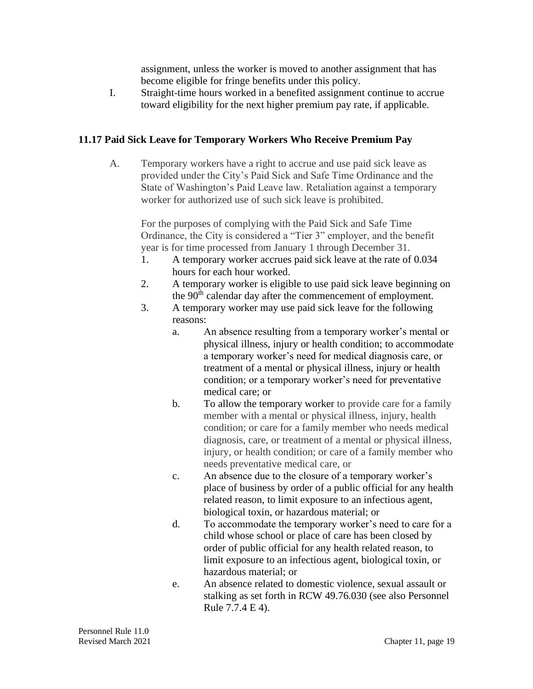assignment, unless the worker is moved to another assignment that has become eligible for fringe benefits under this policy.

I. Straight-time hours worked in a benefited assignment continue to accrue toward eligibility for the next higher premium pay rate, if applicable.

## **11.17 Paid Sick Leave for Temporary Workers Who Receive Premium Pay**

A. Temporary workers have a right to accrue and use paid sick leave as provided under the City's Paid Sick and Safe Time Ordinance and the State of Washington's Paid Leave law. Retaliation against a temporary worker for authorized use of such sick leave is prohibited.

For the purposes of complying with the Paid Sick and Safe Time Ordinance, the City is considered a "Tier 3" employer, and the benefit year is for time processed from January 1 through December 31.

- 1. A temporary worker accrues paid sick leave at the rate of 0.034 hours for each hour worked.
- 2. A temporary worker is eligible to use paid sick leave beginning on the 90<sup>th</sup> calendar day after the commencement of employment.
- 3. A temporary worker may use paid sick leave for the following reasons:
	- a. An absence resulting from a temporary worker's mental or physical illness, injury or health condition; to accommodate a temporary worker's need for medical diagnosis care, or treatment of a mental or physical illness, injury or health condition; or a temporary worker's need for preventative medical care; or
	- b. To allow the temporary worker to provide care for a family member with a mental or physical illness, injury, health condition; or care for a family member who needs medical diagnosis, care, or treatment of a mental or physical illness, injury, or health condition; or care of a family member who needs preventative medical care, or
	- c. An absence due to the closure of a temporary worker's place of business by order of a public official for any health related reason, to limit exposure to an infectious agent, biological toxin, or hazardous material; or
	- d. To accommodate the temporary worker's need to care for a child whose school or place of care has been closed by order of public official for any health related reason, to limit exposure to an infectious agent, biological toxin, or hazardous material; or
	- e. An absence related to domestic violence, sexual assault or stalking as set forth in RCW 49.76.030 (see also Personnel Rule 7.7.4 E 4).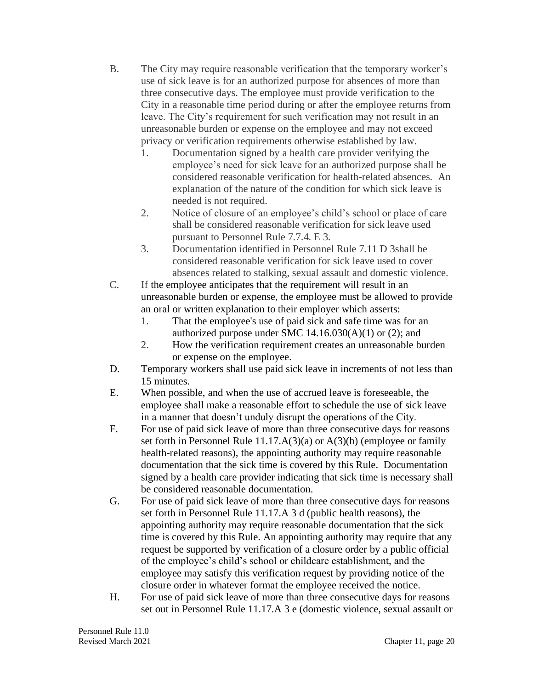- B. The City may require reasonable verification that the temporary worker's use of sick leave is for an authorized purpose for absences of more than three consecutive days. The employee must provide verification to the City in a reasonable time period during or after the employee returns from leave. The City's requirement for such verification may not result in an unreasonable burden or expense on the employee and may not exceed privacy or verification requirements otherwise established by law.
	- 1. Documentation signed by a health care provider verifying the employee's need for sick leave for an authorized purpose shall be considered reasonable verification for health-related absences. An explanation of the nature of the condition for which sick leave is needed is not required.
	- 2. Notice of closure of an employee's child's school or place of care shall be considered reasonable verification for sick leave used pursuant to Personnel Rule 7.7.4. E 3.
	- 3. Documentation identified in Personnel Rule 7.11 D 3shall be considered reasonable verification for sick leave used to cover absences related to stalking, sexual assault and domestic violence.
- C. If the employee anticipates that the requirement will result in an unreasonable burden or expense, the employee must be allowed to provide an oral or written explanation to their employer which asserts:
	- 1. That the employee's use of paid sick and safe time was for an authorized purpose under SMC  $14.16.030(A)(1)$  or  $(2)$ ; and
	- 2. How the verification requirement creates an unreasonable burden or expense on the employee.
- D. Temporary workers shall use paid sick leave in increments of not less than 15 minutes.
- E. When possible, and when the use of accrued leave is foreseeable, the employee shall make a reasonable effort to schedule the use of sick leave in a manner that doesn't unduly disrupt the operations of the City.
- F. For use of paid sick leave of more than three consecutive days for reasons set forth in Personnel Rule 11.17.A(3)(a) or A(3)(b) (employee or family health-related reasons), the appointing authority may require reasonable documentation that the sick time is covered by this Rule. Documentation signed by a health care provider indicating that sick time is necessary shall be considered reasonable documentation.
- G. For use of paid sick leave of more than three consecutive days for reasons set forth in Personnel Rule 11.17.A 3 d (public health reasons), the appointing authority may require reasonable documentation that the sick time is covered by this Rule. An appointing authority may require that any request be supported by verification of a closure order by a public official of the employee's child's school or childcare establishment, and the employee may satisfy this verification request by providing notice of the closure order in whatever format the employee received the notice.
- H. For use of paid sick leave of more than three consecutive days for reasons set out in Personnel Rule 11.17.A 3 e (domestic violence, sexual assault or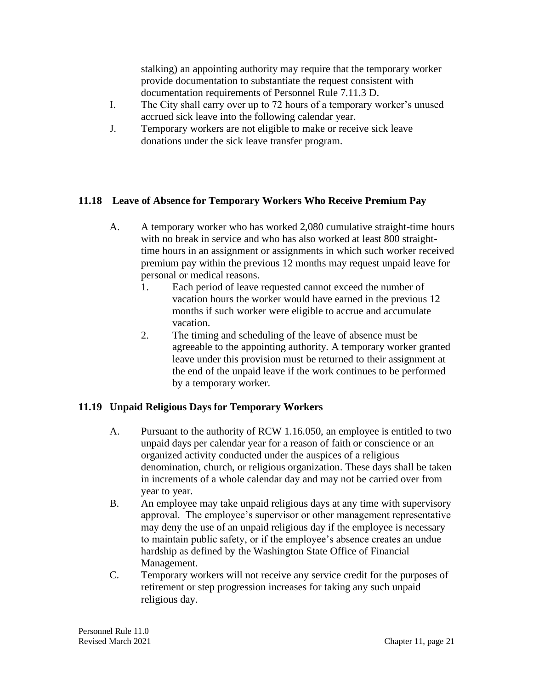stalking) an appointing authority may require that the temporary worker provide documentation to substantiate the request consistent with documentation requirements of Personnel Rule 7.11.3 D.

- I. The City shall carry over up to 72 hours of a temporary worker's unused accrued sick leave into the following calendar year.
- J. Temporary workers are not eligible to make or receive sick leave donations under the sick leave transfer program.

## **11.18 Leave of Absence for Temporary Workers Who Receive Premium Pay**

- A. A temporary worker who has worked 2,080 cumulative straight-time hours with no break in service and who has also worked at least 800 straighttime hours in an assignment or assignments in which such worker received premium pay within the previous 12 months may request unpaid leave for personal or medical reasons.
	- 1. Each period of leave requested cannot exceed the number of vacation hours the worker would have earned in the previous 12 months if such worker were eligible to accrue and accumulate vacation.
	- 2. The timing and scheduling of the leave of absence must be agreeable to the appointing authority. A temporary worker granted leave under this provision must be returned to their assignment at the end of the unpaid leave if the work continues to be performed by a temporary worker.

# **11.19 Unpaid Religious Days for Temporary Workers**

- A. Pursuant to the authority of RCW 1.16.050, an employee is entitled to two unpaid days per calendar year for a reason of faith or conscience or an organized activity conducted under the auspices of a religious denomination, church, or religious organization. These days shall be taken in increments of a whole calendar day and may not be carried over from year to year.
- B. An employee may take unpaid religious days at any time with supervisory approval. The employee's supervisor or other management representative may deny the use of an unpaid religious day if the employee is necessary to maintain public safety, or if the employee's absence creates an undue hardship as defined by the Washington State Office of Financial Management.
- C. Temporary workers will not receive any service credit for the purposes of retirement or step progression increases for taking any such unpaid religious day.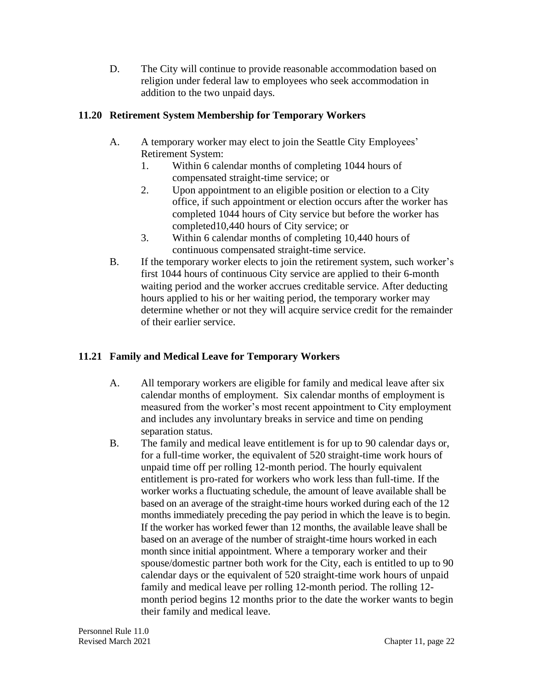D. The City will continue to provide reasonable accommodation based on religion under federal law to employees who seek accommodation in addition to the two unpaid days.

## **11.20 Retirement System Membership for Temporary Workers**

- A. A temporary worker may elect to join the Seattle City Employees' Retirement System:
	- 1. Within 6 calendar months of completing 1044 hours of compensated straight-time service; or
	- 2. Upon appointment to an eligible position or election to a City office, if such appointment or election occurs after the worker has completed 1044 hours of City service but before the worker has completed10,440 hours of City service; or
	- 3. Within 6 calendar months of completing 10,440 hours of continuous compensated straight-time service.
- B. If the temporary worker elects to join the retirement system, such worker's first 1044 hours of continuous City service are applied to their 6-month waiting period and the worker accrues creditable service. After deducting hours applied to his or her waiting period, the temporary worker may determine whether or not they will acquire service credit for the remainder of their earlier service.

# **11.21 Family and Medical Leave for Temporary Workers**

- A. All temporary workers are eligible for family and medical leave after six calendar months of employment. Six calendar months of employment is measured from the worker's most recent appointment to City employment and includes any involuntary breaks in service and time on pending separation status.
- B. The family and medical leave entitlement is for up to 90 calendar days or, for a full-time worker, the equivalent of 520 straight-time work hours of unpaid time off per rolling 12-month period. The hourly equivalent entitlement is pro-rated for workers who work less than full-time. If the worker works a fluctuating schedule, the amount of leave available shall be based on an average of the straight-time hours worked during each of the 12 months immediately preceding the pay period in which the leave is to begin. If the worker has worked fewer than 12 months, the available leave shall be based on an average of the number of straight-time hours worked in each month since initial appointment. Where a temporary worker and their spouse/domestic partner both work for the City, each is entitled to up to 90 calendar days or the equivalent of 520 straight-time work hours of unpaid family and medical leave per rolling 12-month period. The rolling 12 month period begins 12 months prior to the date the worker wants to begin their family and medical leave.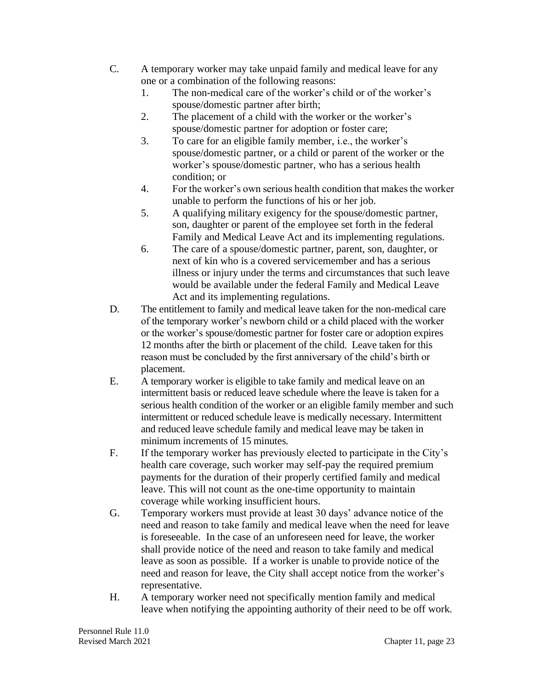- C. A temporary worker may take unpaid family and medical leave for any one or a combination of the following reasons:
	- 1. The non-medical care of the worker's child or of the worker's spouse/domestic partner after birth;
	- 2. The placement of a child with the worker or the worker's spouse/domestic partner for adoption or foster care;
	- 3. To care for an eligible family member, i.e., the worker's spouse/domestic partner, or a child or parent of the worker or the worker's spouse/domestic partner, who has a serious health condition; or
	- 4. For the worker's own serious health condition that makes the worker unable to perform the functions of his or her job.
	- 5. A qualifying military exigency for the spouse/domestic partner, son, daughter or parent of the employee set forth in the federal Family and Medical Leave Act and its implementing regulations.
	- 6. The care of a spouse/domestic partner, parent, son, daughter, or next of kin who is a covered servicemember and has a serious illness or injury under the terms and circumstances that such leave would be available under the federal Family and Medical Leave Act and its implementing regulations.
- D. The entitlement to family and medical leave taken for the non-medical care of the temporary worker's newborn child or a child placed with the worker or the worker's spouse/domestic partner for foster care or adoption expires 12 months after the birth or placement of the child. Leave taken for this reason must be concluded by the first anniversary of the child's birth or placement.
- E. A temporary worker is eligible to take family and medical leave on an intermittent basis or reduced leave schedule where the leave is taken for a serious health condition of the worker or an eligible family member and such intermittent or reduced schedule leave is medically necessary. Intermittent and reduced leave schedule family and medical leave may be taken in minimum increments of 15 minutes.
- F. If the temporary worker has previously elected to participate in the City's health care coverage, such worker may self-pay the required premium payments for the duration of their properly certified family and medical leave. This will not count as the one-time opportunity to maintain coverage while working insufficient hours.
- G. Temporary workers must provide at least 30 days' advance notice of the need and reason to take family and medical leave when the need for leave is foreseeable. In the case of an unforeseen need for leave, the worker shall provide notice of the need and reason to take family and medical leave as soon as possible. If a worker is unable to provide notice of the need and reason for leave, the City shall accept notice from the worker's representative.
- H. A temporary worker need not specifically mention family and medical leave when notifying the appointing authority of their need to be off work.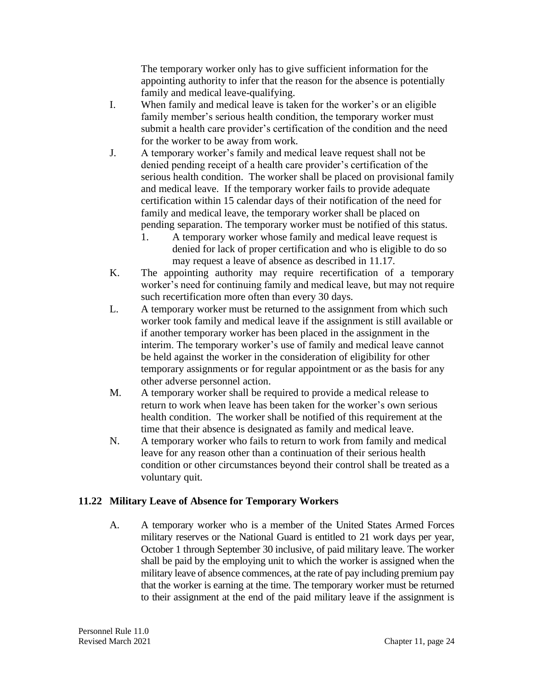The temporary worker only has to give sufficient information for the appointing authority to infer that the reason for the absence is potentially family and medical leave-qualifying.

- I. When family and medical leave is taken for the worker's or an eligible family member's serious health condition, the temporary worker must submit a health care provider's certification of the condition and the need for the worker to be away from work.
- J. A temporary worker's family and medical leave request shall not be denied pending receipt of a health care provider's certification of the serious health condition. The worker shall be placed on provisional family and medical leave. If the temporary worker fails to provide adequate certification within 15 calendar days of their notification of the need for family and medical leave, the temporary worker shall be placed on pending separation. The temporary worker must be notified of this status.
	- 1. A temporary worker whose family and medical leave request is denied for lack of proper certification and who is eligible to do so may request a leave of absence as described in 11.17.
- K. The appointing authority may require recertification of a temporary worker's need for continuing family and medical leave, but may not require such recertification more often than every 30 days.
- L. A temporary worker must be returned to the assignment from which such worker took family and medical leave if the assignment is still available or if another temporary worker has been placed in the assignment in the interim. The temporary worker's use of family and medical leave cannot be held against the worker in the consideration of eligibility for other temporary assignments or for regular appointment or as the basis for any other adverse personnel action.
- M. A temporary worker shall be required to provide a medical release to return to work when leave has been taken for the worker's own serious health condition. The worker shall be notified of this requirement at the time that their absence is designated as family and medical leave.
- N. A temporary worker who fails to return to work from family and medical leave for any reason other than a continuation of their serious health condition or other circumstances beyond their control shall be treated as a voluntary quit.

## **11.22 Military Leave of Absence for Temporary Workers**

A. A temporary worker who is a member of the United States Armed Forces military reserves or the National Guard is entitled to 21 work days per year, October 1 through September 30 inclusive, of paid military leave. The worker shall be paid by the employing unit to which the worker is assigned when the military leave of absence commences, at the rate of pay including premium pay that the worker is earning at the time. The temporary worker must be returned to their assignment at the end of the paid military leave if the assignment is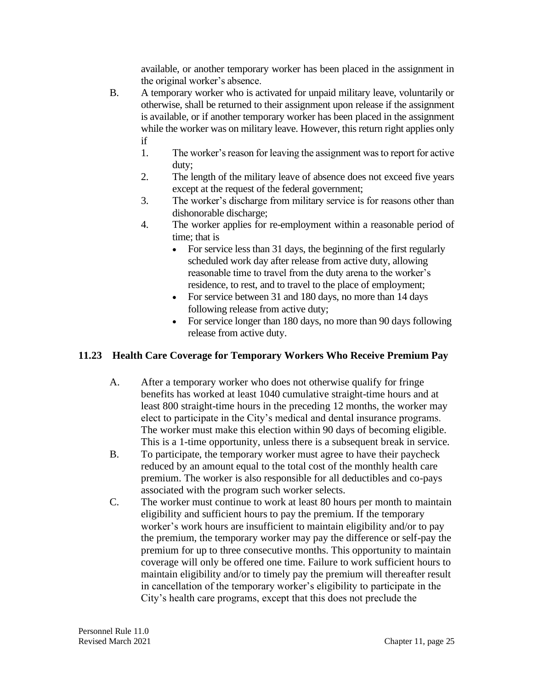available, or another temporary worker has been placed in the assignment in the original worker's absence.

- B. A temporary worker who is activated for unpaid military leave, voluntarily or otherwise, shall be returned to their assignment upon release if the assignment is available, or if another temporary worker has been placed in the assignment while the worker was on military leave. However, this return right applies only if
	- 1. The worker's reason for leaving the assignment was to report for active duty;
	- 2. The length of the military leave of absence does not exceed five years except at the request of the federal government;
	- 3. The worker's discharge from military service is for reasons other than dishonorable discharge;
	- 4. The worker applies for re-employment within a reasonable period of time; that is
		- For service less than 31 days, the beginning of the first regularly scheduled work day after release from active duty, allowing reasonable time to travel from the duty arena to the worker's residence, to rest, and to travel to the place of employment;
		- For service between 31 and 180 days, no more than 14 days following release from active duty;
		- For service longer than 180 days, no more than 90 days following release from active duty.

# **11.23 Health Care Coverage for Temporary Workers Who Receive Premium Pay**

- A. After a temporary worker who does not otherwise qualify for fringe benefits has worked at least 1040 cumulative straight-time hours and at least 800 straight-time hours in the preceding 12 months, the worker may elect to participate in the City's medical and dental insurance programs. The worker must make this election within 90 days of becoming eligible. This is a 1-time opportunity, unless there is a subsequent break in service.
- B. To participate, the temporary worker must agree to have their paycheck reduced by an amount equal to the total cost of the monthly health care premium. The worker is also responsible for all deductibles and co-pays associated with the program such worker selects.
- C. The worker must continue to work at least 80 hours per month to maintain eligibility and sufficient hours to pay the premium. If the temporary worker's work hours are insufficient to maintain eligibility and/or to pay the premium, the temporary worker may pay the difference or self-pay the premium for up to three consecutive months. This opportunity to maintain coverage will only be offered one time. Failure to work sufficient hours to maintain eligibility and/or to timely pay the premium will thereafter result in cancellation of the temporary worker's eligibility to participate in the City's health care programs, except that this does not preclude the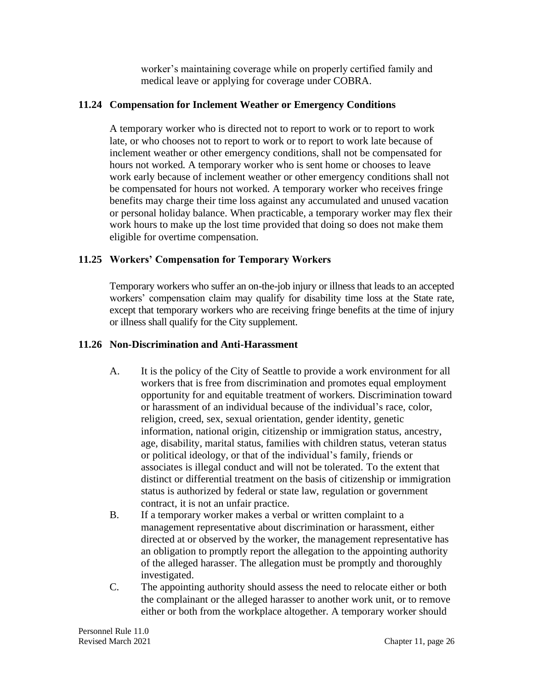worker's maintaining coverage while on properly certified family and medical leave or applying for coverage under COBRA.

#### **11.24 Compensation for Inclement Weather or Emergency Conditions**

A temporary worker who is directed not to report to work or to report to work late, or who chooses not to report to work or to report to work late because of inclement weather or other emergency conditions, shall not be compensated for hours not worked. A temporary worker who is sent home or chooses to leave work early because of inclement weather or other emergency conditions shall not be compensated for hours not worked. A temporary worker who receives fringe benefits may charge their time loss against any accumulated and unused vacation or personal holiday balance. When practicable, a temporary worker may flex their work hours to make up the lost time provided that doing so does not make them eligible for overtime compensation.

## **11.25 Workers' Compensation for Temporary Workers**

Temporary workers who suffer an on-the-job injury or illness that leads to an accepted workers' compensation claim may qualify for disability time loss at the State rate, except that temporary workers who are receiving fringe benefits at the time of injury or illness shall qualify for the City supplement.

## **11.26 Non-Discrimination and Anti-Harassment**

- A. It is the policy of the City of Seattle to provide a work environment for all workers that is free from discrimination and promotes equal employment opportunity for and equitable treatment of workers. Discrimination toward or harassment of an individual because of the individual's race, color, religion, creed, sex, sexual orientation, gender identity, genetic information, national origin, citizenship or immigration status, ancestry, age, disability, marital status, families with children status, veteran status or political ideology, or that of the individual's family, friends or associates is illegal conduct and will not be tolerated. To the extent that distinct or differential treatment on the basis of citizenship or immigration status is authorized by federal or state law, regulation or government contract, it is not an unfair practice.
- B. If a temporary worker makes a verbal or written complaint to a management representative about discrimination or harassment, either directed at or observed by the worker, the management representative has an obligation to promptly report the allegation to the appointing authority of the alleged harasser. The allegation must be promptly and thoroughly investigated.
- C. The appointing authority should assess the need to relocate either or both the complainant or the alleged harasser to another work unit, or to remove either or both from the workplace altogether. A temporary worker should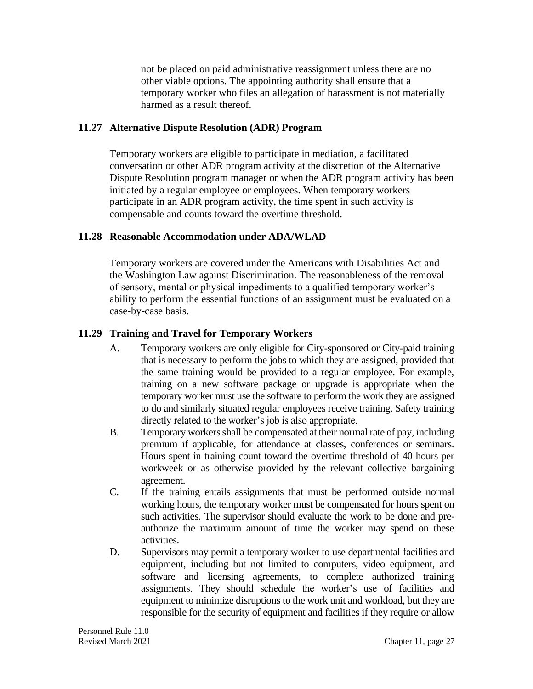not be placed on paid administrative reassignment unless there are no other viable options. The appointing authority shall ensure that a temporary worker who files an allegation of harassment is not materially harmed as a result thereof.

#### **11.27 Alternative Dispute Resolution (ADR) Program**

Temporary workers are eligible to participate in mediation, a facilitated conversation or other ADR program activity at the discretion of the Alternative Dispute Resolution program manager or when the ADR program activity has been initiated by a regular employee or employees. When temporary workers participate in an ADR program activity, the time spent in such activity is compensable and counts toward the overtime threshold.

## **11.28 Reasonable Accommodation under ADA/WLAD**

Temporary workers are covered under the Americans with Disabilities Act and the Washington Law against Discrimination. The reasonableness of the removal of sensory, mental or physical impediments to a qualified temporary worker's ability to perform the essential functions of an assignment must be evaluated on a case-by-case basis.

## **11.29 Training and Travel for Temporary Workers**

- A. Temporary workers are only eligible for City-sponsored or City-paid training that is necessary to perform the jobs to which they are assigned, provided that the same training would be provided to a regular employee. For example, training on a new software package or upgrade is appropriate when the temporary worker must use the software to perform the work they are assigned to do and similarly situated regular employees receive training. Safety training directly related to the worker's job is also appropriate.
- B. Temporary workers shall be compensated at their normal rate of pay, including premium if applicable, for attendance at classes, conferences or seminars. Hours spent in training count toward the overtime threshold of 40 hours per workweek or as otherwise provided by the relevant collective bargaining agreement.
- C. If the training entails assignments that must be performed outside normal working hours, the temporary worker must be compensated for hours spent on such activities. The supervisor should evaluate the work to be done and preauthorize the maximum amount of time the worker may spend on these activities.
- D. Supervisors may permit a temporary worker to use departmental facilities and equipment, including but not limited to computers, video equipment, and software and licensing agreements, to complete authorized training assignments. They should schedule the worker's use of facilities and equipment to minimize disruptions to the work unit and workload, but they are responsible for the security of equipment and facilities if they require or allow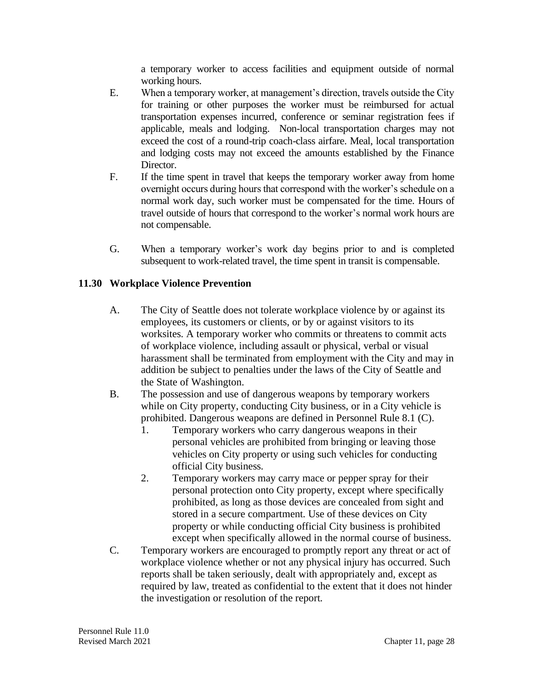a temporary worker to access facilities and equipment outside of normal working hours.

- E. When a temporary worker, at management's direction, travels outside the City for training or other purposes the worker must be reimbursed for actual transportation expenses incurred, conference or seminar registration fees if applicable, meals and lodging. Non-local transportation charges may not exceed the cost of a round-trip coach-class airfare. Meal, local transportation and lodging costs may not exceed the amounts established by the Finance Director.
- F. If the time spent in travel that keeps the temporary worker away from home overnight occurs during hours that correspond with the worker's schedule on a normal work day, such worker must be compensated for the time. Hours of travel outside of hours that correspond to the worker's normal work hours are not compensable.
- G. When a temporary worker's work day begins prior to and is completed subsequent to work-related travel, the time spent in transit is compensable.

# **11.30 Workplace Violence Prevention**

- A. The City of Seattle does not tolerate workplace violence by or against its employees, its customers or clients, or by or against visitors to its worksites. A temporary worker who commits or threatens to commit acts of workplace violence, including assault or physical, verbal or visual harassment shall be terminated from employment with the City and may in addition be subject to penalties under the laws of the City of Seattle and the State of Washington.
- B. The possession and use of dangerous weapons by temporary workers while on City property, conducting City business, or in a City vehicle is prohibited. Dangerous weapons are defined in Personnel Rule 8.1 (C).
	- 1. Temporary workers who carry dangerous weapons in their personal vehicles are prohibited from bringing or leaving those vehicles on City property or using such vehicles for conducting official City business.
	- 2. Temporary workers may carry mace or pepper spray for their personal protection onto City property, except where specifically prohibited, as long as those devices are concealed from sight and stored in a secure compartment. Use of these devices on City property or while conducting official City business is prohibited except when specifically allowed in the normal course of business.
- C. Temporary workers are encouraged to promptly report any threat or act of workplace violence whether or not any physical injury has occurred. Such reports shall be taken seriously, dealt with appropriately and, except as required by law, treated as confidential to the extent that it does not hinder the investigation or resolution of the report.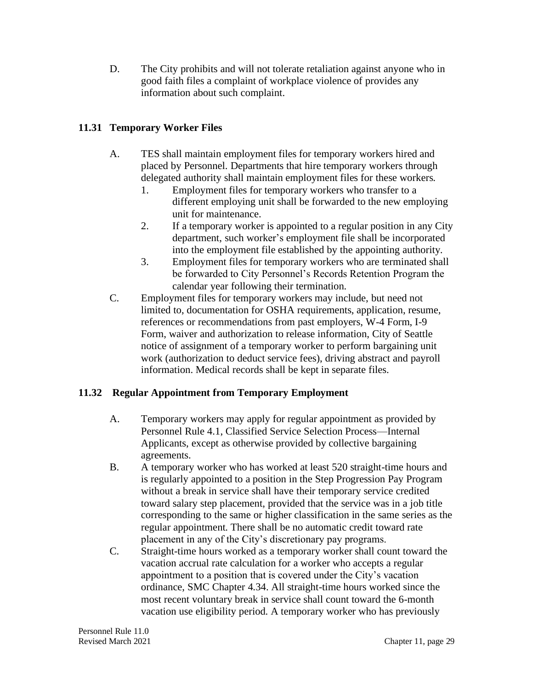D. The City prohibits and will not tolerate retaliation against anyone who in good faith files a complaint of workplace violence of provides any information about such complaint.

# **11.31 Temporary Worker Files**

- A. TES shall maintain employment files for temporary workers hired and placed by Personnel. Departments that hire temporary workers through delegated authority shall maintain employment files for these workers.
	- 1. Employment files for temporary workers who transfer to a different employing unit shall be forwarded to the new employing unit for maintenance.
	- 2. If a temporary worker is appointed to a regular position in any City department, such worker's employment file shall be incorporated into the employment file established by the appointing authority.
	- 3. Employment files for temporary workers who are terminated shall be forwarded to City Personnel's Records Retention Program the calendar year following their termination.
- C. Employment files for temporary workers may include, but need not limited to, documentation for OSHA requirements, application, resume, references or recommendations from past employers, W-4 Form, I-9 Form, waiver and authorization to release information, City of Seattle notice of assignment of a temporary worker to perform bargaining unit work (authorization to deduct service fees), driving abstract and payroll information. Medical records shall be kept in separate files.

## **11.32 Regular Appointment from Temporary Employment**

- A. Temporary workers may apply for regular appointment as provided by Personnel Rule 4.1, Classified Service Selection Process—Internal Applicants, except as otherwise provided by collective bargaining agreements.
- B. A temporary worker who has worked at least 520 straight-time hours and is regularly appointed to a position in the Step Progression Pay Program without a break in service shall have their temporary service credited toward salary step placement, provided that the service was in a job title corresponding to the same or higher classification in the same series as the regular appointment. There shall be no automatic credit toward rate placement in any of the City's discretionary pay programs.
- C. Straight-time hours worked as a temporary worker shall count toward the vacation accrual rate calculation for a worker who accepts a regular appointment to a position that is covered under the City's vacation ordinance, SMC Chapter 4.34. All straight-time hours worked since the most recent voluntary break in service shall count toward the 6-month vacation use eligibility period. A temporary worker who has previously